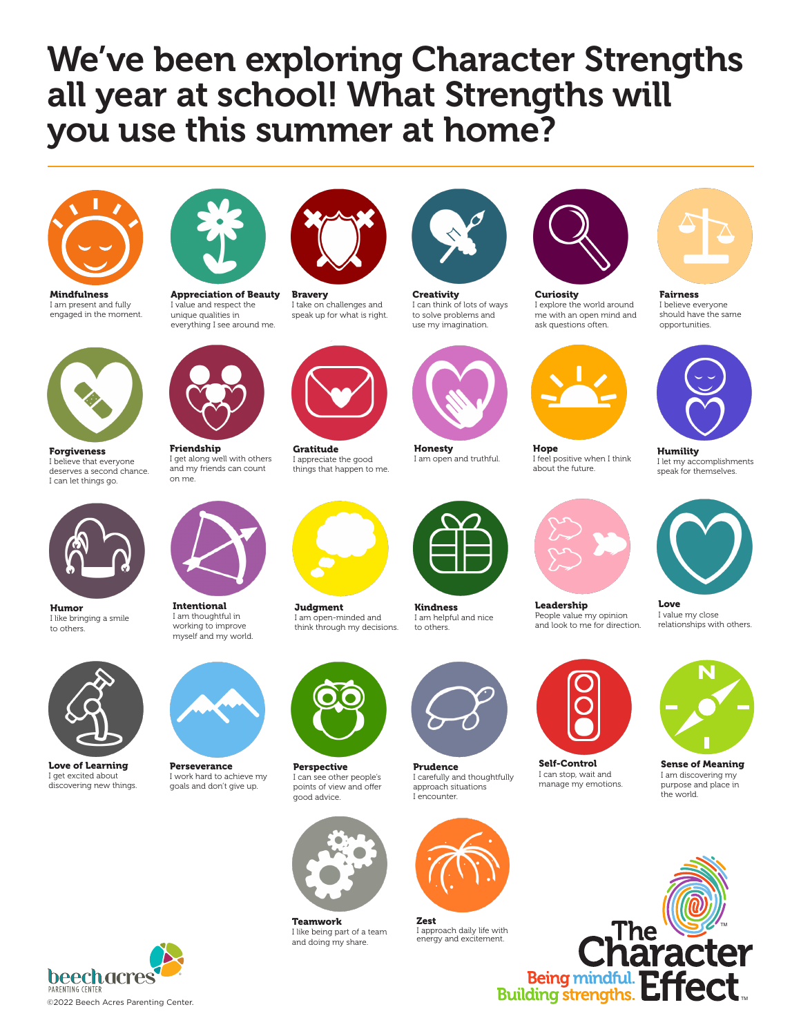# We've been exploring Character Strengths all year at school! What Strengths will you use this summer at home?



Mindfulness I am present and fully engaged in the moment.



Appreciation of Beauty I value and respect the unique qualities in everything I see around me.



Bravery I take on challenges and speak up for what is right.

Gratitude I appreciate the good things that happen to me.



use my imagination.



Honesty I am open and truthful.



**Curiosity** I explore the world around me with an open mind and ask questions often.



Hope I feel positive when I think about the future.



I believe everyone should have the same opportunities.



Humility I let my accomplishments speak for themselves.



Love I value my close relationships with others.



Sense of Meaning I am discovering my purpose and place in

 $\blacksquare$ 

TM



Forgiveness I believe that everyone deserves a second chance. I can let things go.



Humor I like bringing a smile to others.



Love of Learning I get excited about discovering new things.



on me.



Intentional I am thoughtful in working to improve myself and my world.



Perseverance I work hard to achieve my goals and don't give up.



**Judgment** I am open-minded and think through my decisions.



Perspective I can see other people's points of view and offer .<br>good advice.



Teamwork I like being part of a team and doing my share.



Prudence I carefully and thoughtfully approach situations



I approach daily life with energy and excitement.



manage my emotions.

Being mindful. Effect.

the world.





Kindness



















Leadership People value my opinion and look to me for direction.

Self-Control I can stop, wait and